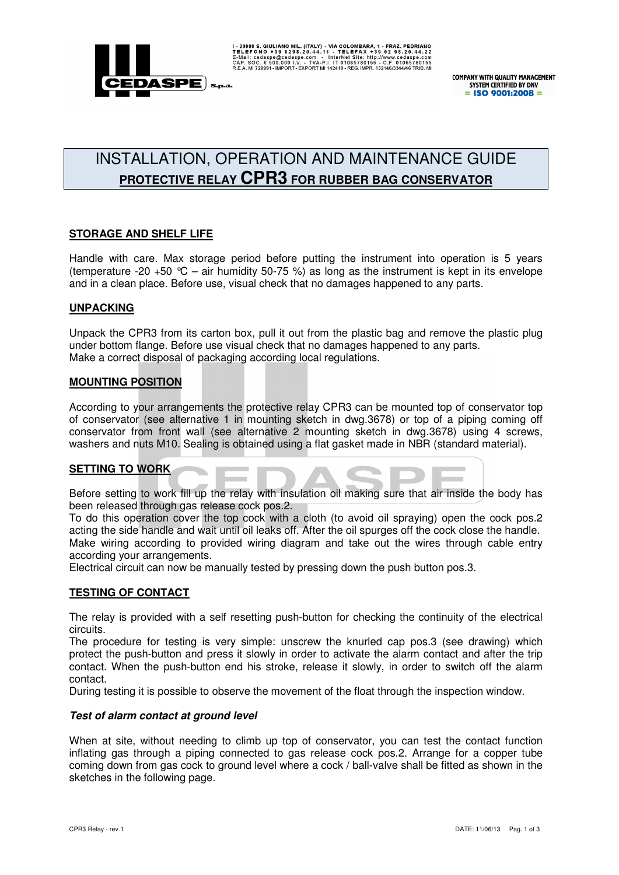

# INSTALLATION, OPERATION AND MAINTENANCE GUIDE **PROTECTIVE RELAY CPR3 FOR RUBBER BAG CONSERVATOR**

# **STORAGE AND SHELF LIFE**

Handle with care. Max storage period before putting the instrument into operation is 5 years (temperature -20 +50  $\degree$ C – air humidity 50-75 %) as long as the instrument is kept in its envelope and in a clean place. Before use, visual check that no damages happened to any parts.

### **UNPACKING**

Unpack the CPR3 from its carton box, pull it out from the plastic bag and remove the plastic plug under bottom flange. Before use visual check that no damages happened to any parts. Make a correct disposal of packaging according local regulations.

#### **MOUNTING POSITION**

According to your arrangements the protective relay CPR3 can be mounted top of conservator top of conservator (see alternative 1 in mounting sketch in dwg.3678) or top of a piping coming off conservator from front wall (see alternative 2 mounting sketch in dwg.3678) using 4 screws, washers and nuts M10. Sealing is obtained using a flat gasket made in NBR (standard material).

# **SETTING TO WORK**

Before setting to work fill up the relay with insulation oil making sure that air inside the body has been released through gas release cock pos.2.

To do this operation cover the top cock with a cloth (to avoid oil spraying) open the cock pos.2 acting the side handle and wait until oil leaks off. After the oil spurges off the cock close the handle. Make wiring according to provided wiring diagram and take out the wires through cable entry according your arrangements.

Electrical circuit can now be manually tested by pressing down the push button pos.3.

# **TESTING OF CONTACT**

The relay is provided with a self resetting push-button for checking the continuity of the electrical circuits.

The procedure for testing is very simple: unscrew the knurled cap pos.3 (see drawing) which protect the push-button and press it slowly in order to activate the alarm contact and after the trip contact. When the push-button end his stroke, release it slowly, in order to switch off the alarm contact.

During testing it is possible to observe the movement of the float through the inspection window.

#### **Test of alarm contact at ground level**

When at site, without needing to climb up top of conservator, you can test the contact function inflating gas through a piping connected to gas release cock pos.2. Arrange for a copper tube coming down from gas cock to ground level where a cock / ball-valve shall be fitted as shown in the sketches in the following page.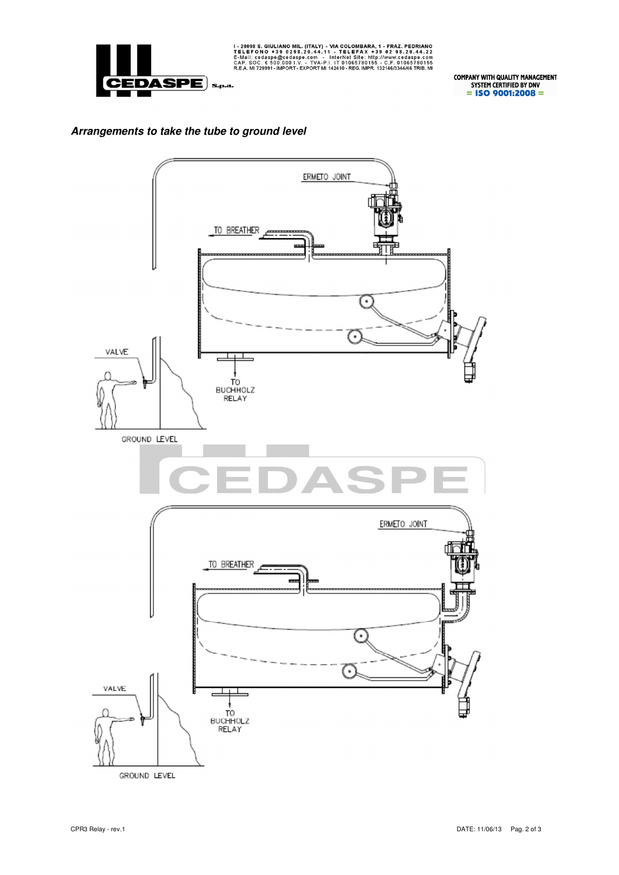

I-20098 S. GIULIANO MIL. (ITALY) - VIA COLOMBARA, 1 - FRAZ. PEDRIANO TELEFONO +39 0298.20.44.11 - TELEFAX +39 0298.20.44.22<br>E-Mail: cedaspe@cedaspe.com - InterNet Site: http://www.cedaspe.com<br>CAP. SOC. € 500.000 I.V. - TV

**COMPANY WITH QUALITY MANAGEMENT<br>SYSTEM CERTIFIED BY DNV<br>= ISO 9001:2008 =** 

# **Arrangements to take the tube to ground level**

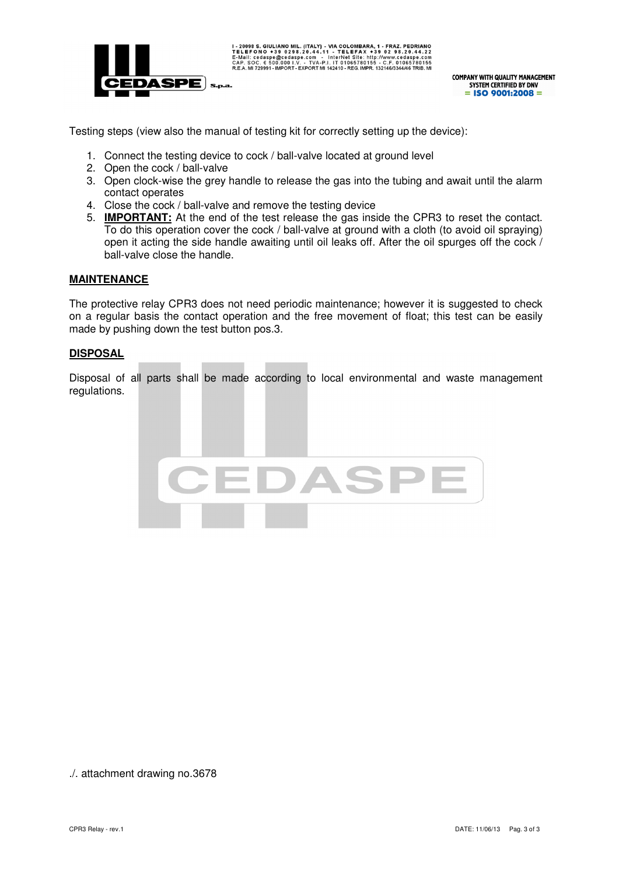

**COMPANY WITH QUALITY MANAGEMENT** SYSTEM CERTIFIED BY DNV  $=$  ISO 9001:2008  $=$ 

Testing steps (view also the manual of testing kit for correctly setting up the device):

- 1. Connect the testing device to cock / ball-valve located at ground level
- 2. Open the cock / ball-valve
- 3. Open clock-wise the grey handle to release the gas into the tubing and await until the alarm contact operates
- 4. Close the cock / ball-valve and remove the testing device
- 5. **IMPORTANT:** At the end of the test release the gas inside the CPR3 to reset the contact. To do this operation cover the cock / ball-valve at ground with a cloth (to avoid oil spraying) open it acting the side handle awaiting until oil leaks off. After the oil spurges off the cock / ball-valve close the handle.

#### **MAINTENANCE**

The protective relay CPR3 does not need periodic maintenance; however it is suggested to check on a regular basis the contact operation and the free movement of float; this test can be easily made by pushing down the test button pos.3.

#### **DISPOSAL**

Disposal of all parts shall be made according to local environmental and waste management regulations.



./. attachment drawing no.3678